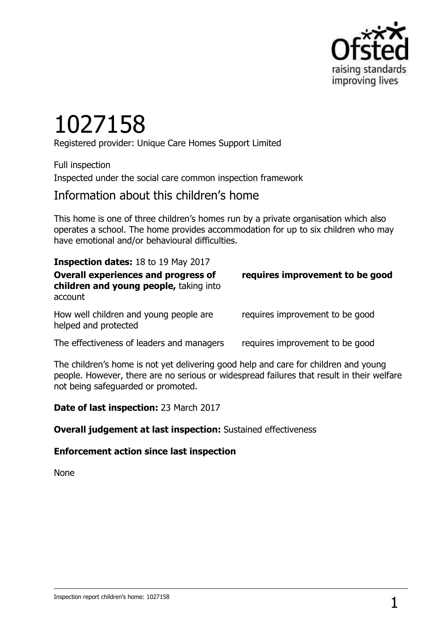

# 1027158

Registered provider: Unique Care Homes Support Limited

Full inspection Inspected under the social care common inspection framework

# Information about this children's home

This home is one of three children's homes run by a private organisation which also operates a school. The home provides accommodation for up to six children who may have emotional and/or behavioural difficulties.

**Inspection dates:** 18 to 19 May 2017

**Overall experiences and progress of children and young people,** taking into account **requires improvement to be good**

How well children and young people are helped and protected

requires improvement to be good

The effectiveness of leaders and managers requires improvement to be good

The children's home is not yet delivering good help and care for children and young people. However, there are no serious or widespread failures that result in their welfare not being safeguarded or promoted.

**Date of last inspection:** 23 March 2017

**Overall judgement at last inspection:** Sustained effectiveness

#### **Enforcement action since last inspection**

None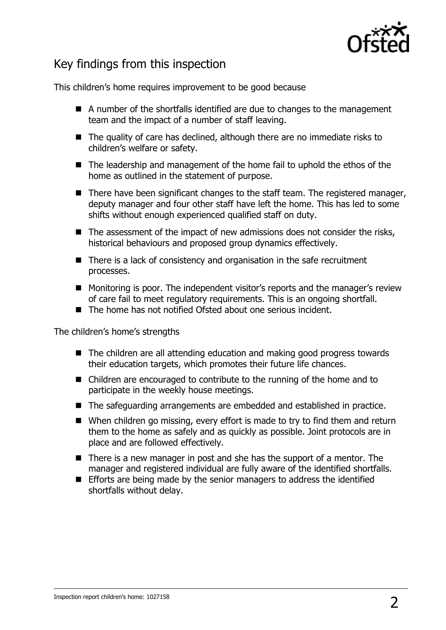

# Key findings from this inspection

This children's home requires improvement to be good because

- A number of the shortfalls identified are due to changes to the management team and the impact of a number of staff leaving.
- The quality of care has declined, although there are no immediate risks to children's welfare or safety.
- The leadership and management of the home fail to uphold the ethos of the home as outlined in the statement of purpose.
- $\blacksquare$  There have been significant changes to the staff team. The registered manager, deputy manager and four other staff have left the home. This has led to some shifts without enough experienced qualified staff on duty.
- $\blacksquare$  The assessment of the impact of new admissions does not consider the risks, historical behaviours and proposed group dynamics effectively.
- $\blacksquare$  There is a lack of consistency and organisation in the safe recruitment processes.
- Monitoring is poor. The independent visitor's reports and the manager's review of care fail to meet regulatory requirements. This is an ongoing shortfall.
- The home has not notified Ofsted about one serious incident.

The children's home's strengths

- The children are all attending education and making good progress towards their education targets, which promotes their future life chances.
- Children are encouraged to contribute to the running of the home and to participate in the weekly house meetings.
- The safeguarding arrangements are embedded and established in practice.
- When children go missing, every effort is made to try to find them and return them to the home as safely and as quickly as possible. Joint protocols are in place and are followed effectively.
- $\blacksquare$  There is a new manager in post and she has the support of a mentor. The manager and registered individual are fully aware of the identified shortfalls.
- Efforts are being made by the senior managers to address the identified shortfalls without delay.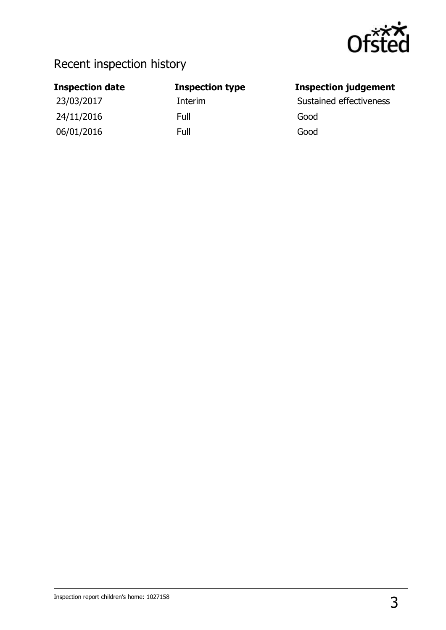

# Recent inspection history

# 24/11/2016 Full Good 06/01/2016 Full Good

## **Inspection date Inspection type Inspection judgement**

23/03/2017 **Interim Interim** Sustained effectiveness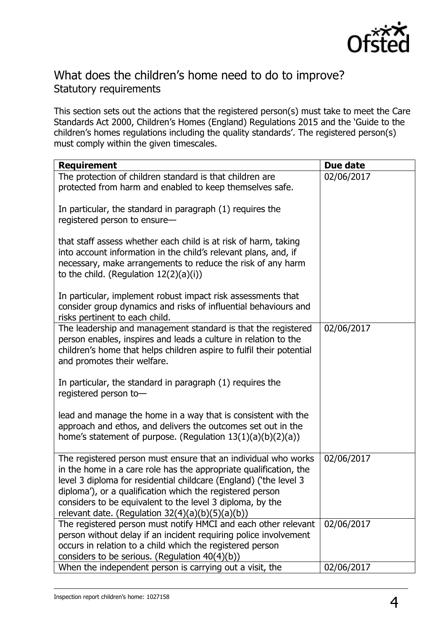

# What does the children's home need to do to improve? Statutory requirements

This section sets out the actions that the registered person(s) must take to meet the Care Standards Act 2000, Children's Homes (England) Regulations 2015 and the 'Guide to the children's homes regulations including the quality standards'. The registered person(s) must comply within the given timescales.

| <b>Requirement</b>                                                                                                                                                                                                                                                                                                                                                                       | Due date   |
|------------------------------------------------------------------------------------------------------------------------------------------------------------------------------------------------------------------------------------------------------------------------------------------------------------------------------------------------------------------------------------------|------------|
| The protection of children standard is that children are<br>protected from harm and enabled to keep themselves safe.                                                                                                                                                                                                                                                                     | 02/06/2017 |
| In particular, the standard in paragraph (1) requires the<br>registered person to ensure-                                                                                                                                                                                                                                                                                                |            |
| that staff assess whether each child is at risk of harm, taking<br>into account information in the child's relevant plans, and, if<br>necessary, make arrangements to reduce the risk of any harm<br>to the child. (Regulation $12(2)(a)(i)$ )                                                                                                                                           |            |
| In particular, implement robust impact risk assessments that<br>consider group dynamics and risks of influential behaviours and<br>risks pertinent to each child.                                                                                                                                                                                                                        |            |
| The leadership and management standard is that the registered<br>person enables, inspires and leads a culture in relation to the<br>children's home that helps children aspire to fulfil their potential<br>and promotes their welfare.                                                                                                                                                  | 02/06/2017 |
| In particular, the standard in paragraph (1) requires the<br>registered person to-                                                                                                                                                                                                                                                                                                       |            |
| lead and manage the home in a way that is consistent with the<br>approach and ethos, and delivers the outcomes set out in the<br>home's statement of purpose. (Regulation $13(1)(a)(b)(2)(a)$ )                                                                                                                                                                                          |            |
| The registered person must ensure that an individual who works<br>in the home in a care role has the appropriate qualification, the<br>level 3 diploma for residential childcare (England) ('the level 3<br>diploma'), or a qualification which the registered person<br>considers to be equivalent to the level 3 diploma, by the<br>relevant date. (Regulation $32(4)(a)(b)(5)(a)(b))$ | 02/06/2017 |
| The registered person must notify HMCI and each other relevant<br>person without delay if an incident requiring police involvement<br>occurs in relation to a child which the registered person<br>considers to be serious. (Regulation 40(4)(b))                                                                                                                                        | 02/06/2017 |
| When the independent person is carrying out a visit, the                                                                                                                                                                                                                                                                                                                                 | 02/06/2017 |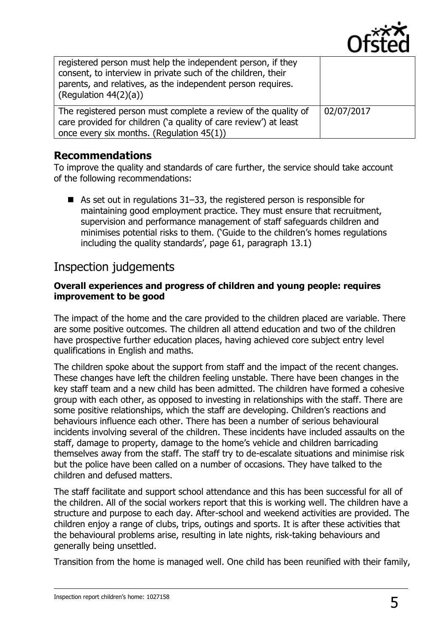

| registered person must help the independent person, if they<br>consent, to interview in private such of the children, their<br>parents, and relatives, as the independent person requires.<br>(Regulation $44(2)(a)$ ) |            |
|------------------------------------------------------------------------------------------------------------------------------------------------------------------------------------------------------------------------|------------|
| The registered person must complete a review of the quality of<br>care provided for children ('a quality of care review') at least<br>once every six months. (Regulation $45(1)$ )                                     | 02/07/2017 |

### **Recommendations**

To improve the quality and standards of care further, the service should take account of the following recommendations:

As set out in regulations  $31-33$ , the registered person is responsible for maintaining good employment practice. They must ensure that recruitment, supervision and performance management of staff safeguards children and minimises potential risks to them. ('Guide to the children's homes regulations including the quality standards', page 61, paragraph 13.1)

# Inspection judgements

#### **Overall experiences and progress of children and young people: requires improvement to be good**

The impact of the home and the care provided to the children placed are variable. There are some positive outcomes. The children all attend education and two of the children have prospective further education places, having achieved core subject entry level qualifications in English and maths.

The children spoke about the support from staff and the impact of the recent changes. These changes have left the children feeling unstable. There have been changes in the key staff team and a new child has been admitted. The children have formed a cohesive group with each other, as opposed to investing in relationships with the staff. There are some positive relationships, which the staff are developing. Children's reactions and behaviours influence each other. There has been a number of serious behavioural incidents involving several of the children. These incidents have included assaults on the staff, damage to property, damage to the home's vehicle and children barricading themselves away from the staff. The staff try to de-escalate situations and minimise risk but the police have been called on a number of occasions. They have talked to the children and defused matters.

The staff facilitate and support school attendance and this has been successful for all of the children. All of the social workers report that this is working well. The children have a structure and purpose to each day. After-school and weekend activities are provided. The children enjoy a range of clubs, trips, outings and sports. It is after these activities that the behavioural problems arise, resulting in late nights, risk-taking behaviours and generally being unsettled.

Transition from the home is managed well. One child has been reunified with their family,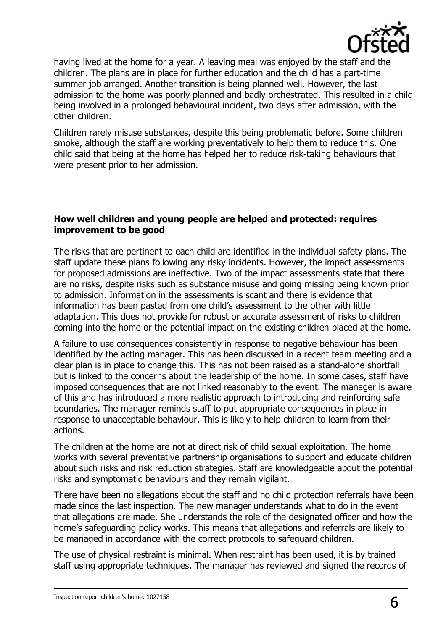

having lived at the home for a year. A leaving meal was enjoyed by the staff and the children. The plans are in place for further education and the child has a part-time summer job arranged. Another transition is being planned well. However, the last admission to the home was poorly planned and badly orchestrated. This resulted in a child being involved in a prolonged behavioural incident, two days after admission, with the other children.

Children rarely misuse substances, despite this being problematic before. Some children smoke, although the staff are working preventatively to help them to reduce this. One child said that being at the home has helped her to reduce risk-taking behaviours that were present prior to her admission.

#### **How well children and young people are helped and protected: requires improvement to be good**

The risks that are pertinent to each child are identified in the individual safety plans. The staff update these plans following any risky incidents. However, the impact assessments for proposed admissions are ineffective. Two of the impact assessments state that there are no risks, despite risks such as substance misuse and going missing being known prior to admission. Information in the assessments is scant and there is evidence that information has been pasted from one child's assessment to the other with little adaptation. This does not provide for robust or accurate assessment of risks to children coming into the home or the potential impact on the existing children placed at the home.

A failure to use consequences consistently in response to negative behaviour has been identified by the acting manager. This has been discussed in a recent team meeting and a clear plan is in place to change this. This has not been raised as a stand-alone shortfall but is linked to the concerns about the leadership of the home. In some cases, staff have imposed consequences that are not linked reasonably to the event. The manager is aware of this and has introduced a more realistic approach to introducing and reinforcing safe boundaries. The manager reminds staff to put appropriate consequences in place in response to unacceptable behaviour. This is likely to help children to learn from their actions.

The children at the home are not at direct risk of child sexual exploitation. The home works with several preventative partnership organisations to support and educate children about such risks and risk reduction strategies. Staff are knowledgeable about the potential risks and symptomatic behaviours and they remain vigilant.

There have been no allegations about the staff and no child protection referrals have been made since the last inspection. The new manager understands what to do in the event that allegations are made. She understands the role of the designated officer and how the home's safeguarding policy works. This means that allegations and referrals are likely to be managed in accordance with the correct protocols to safeguard children.

The use of physical restraint is minimal. When restraint has been used, it is by trained staff using appropriate techniques. The manager has reviewed and signed the records of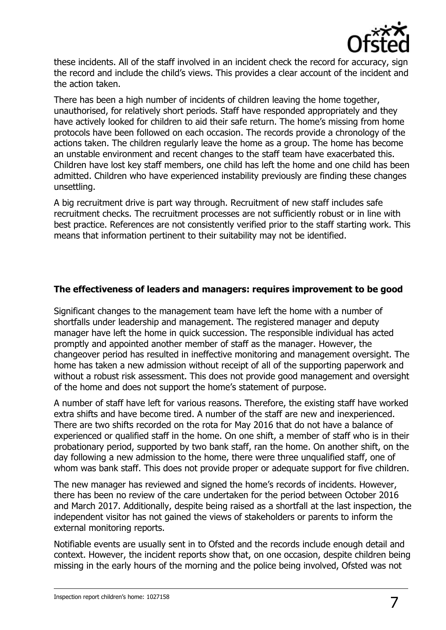

these incidents. All of the staff involved in an incident check the record for accuracy, sign the record and include the child's views. This provides a clear account of the incident and the action taken.

There has been a high number of incidents of children leaving the home together, unauthorised, for relatively short periods. Staff have responded appropriately and they have actively looked for children to aid their safe return. The home's missing from home protocols have been followed on each occasion. The records provide a chronology of the actions taken. The children regularly leave the home as a group. The home has become an unstable environment and recent changes to the staff team have exacerbated this. Children have lost key staff members, one child has left the home and one child has been admitted. Children who have experienced instability previously are finding these changes unsettling.

A big recruitment drive is part way through. Recruitment of new staff includes safe recruitment checks. The recruitment processes are not sufficiently robust or in line with best practice. References are not consistently verified prior to the staff starting work. This means that information pertinent to their suitability may not be identified.

#### **The effectiveness of leaders and managers: requires improvement to be good**

Significant changes to the management team have left the home with a number of shortfalls under leadership and management. The registered manager and deputy manager have left the home in quick succession. The responsible individual has acted promptly and appointed another member of staff as the manager. However, the changeover period has resulted in ineffective monitoring and management oversight. The home has taken a new admission without receipt of all of the supporting paperwork and without a robust risk assessment. This does not provide good management and oversight of the home and does not support the home's statement of purpose.

A number of staff have left for various reasons. Therefore, the existing staff have worked extra shifts and have become tired. A number of the staff are new and inexperienced. There are two shifts recorded on the rota for May 2016 that do not have a balance of experienced or qualified staff in the home. On one shift, a member of staff who is in their probationary period, supported by two bank staff, ran the home. On another shift, on the day following a new admission to the home, there were three unqualified staff, one of whom was bank staff. This does not provide proper or adequate support for five children.

The new manager has reviewed and signed the home's records of incidents. However, there has been no review of the care undertaken for the period between October 2016 and March 2017. Additionally, despite being raised as a shortfall at the last inspection, the independent visitor has not gained the views of stakeholders or parents to inform the external monitoring reports.

Notifiable events are usually sent in to Ofsted and the records include enough detail and context. However, the incident reports show that, on one occasion, despite children being missing in the early hours of the morning and the police being involved, Ofsted was not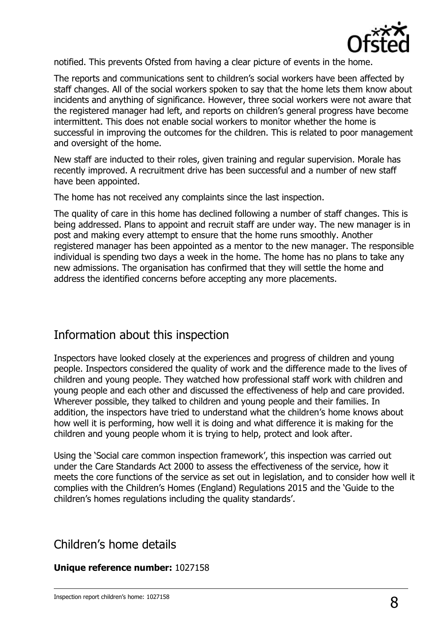

notified. This prevents Ofsted from having a clear picture of events in the home.

The reports and communications sent to children's social workers have been affected by staff changes. All of the social workers spoken to say that the home lets them know about incidents and anything of significance. However, three social workers were not aware that the registered manager had left, and reports on children's general progress have become intermittent. This does not enable social workers to monitor whether the home is successful in improving the outcomes for the children. This is related to poor management and oversight of the home.

New staff are inducted to their roles, given training and regular supervision. Morale has recently improved. A recruitment drive has been successful and a number of new staff have been appointed.

The home has not received any complaints since the last inspection.

The quality of care in this home has declined following a number of staff changes. This is being addressed. Plans to appoint and recruit staff are under way. The new manager is in post and making every attempt to ensure that the home runs smoothly. Another registered manager has been appointed as a mentor to the new manager. The responsible individual is spending two days a week in the home. The home has no plans to take any new admissions. The organisation has confirmed that they will settle the home and address the identified concerns before accepting any more placements.

## Information about this inspection

Inspectors have looked closely at the experiences and progress of children and young people. Inspectors considered the quality of work and the difference made to the lives of children and young people. They watched how professional staff work with children and young people and each other and discussed the effectiveness of help and care provided. Wherever possible, they talked to children and young people and their families. In addition, the inspectors have tried to understand what the children's home knows about how well it is performing, how well it is doing and what difference it is making for the children and young people whom it is trying to help, protect and look after.

Using the 'Social care common inspection framework', this inspection was carried out under the Care Standards Act 2000 to assess the effectiveness of the service, how it meets the core functions of the service as set out in legislation, and to consider how well it complies with the Children's Homes (England) Regulations 2015 and the 'Guide to the children's homes regulations including the quality standards'.

# Children's home details

#### **Unique reference number:** 1027158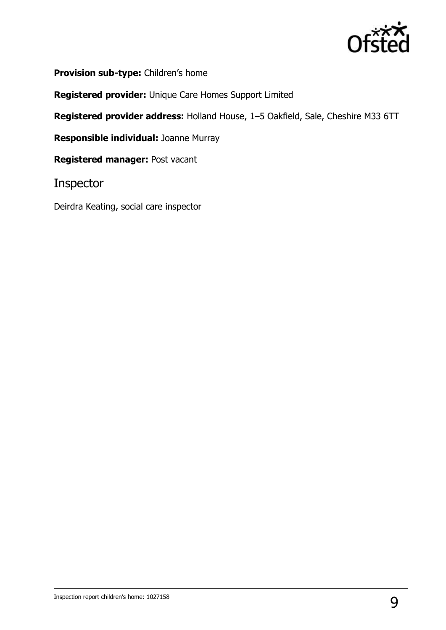

**Provision sub-type:** Children's home

**Registered provider:** Unique Care Homes Support Limited

**Registered provider address:** Holland House, 1–5 Oakfield, Sale, Cheshire M33 6TT

**Responsible individual:** Joanne Murray

**Registered manager:** Post vacant

Inspector

Deirdra Keating, social care inspector